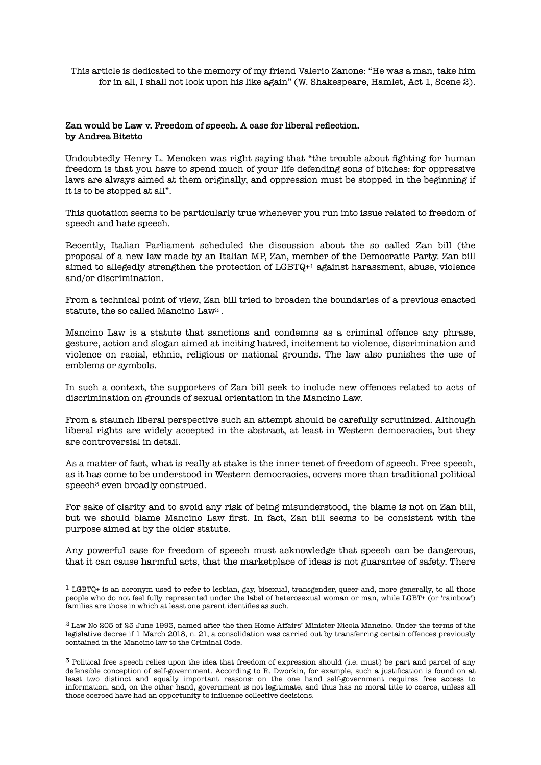This article is dedicated to the memory of my friend Valerio Zanone: "He was a man, take him for in all, I shall not look upon his like again" (W. Shakespeare, Hamlet, Act 1, Scene 2).

## **Zan would be Law v. Freedom of speech. A case for liberal reflection. by Andrea Bitetto**

Undoubtedly Henry L. Mencken was right saying that "the trouble about fighting for human freedom is that you have to spend much of your life defending sons of bitches: for oppressive laws are always aimed at them originally, and oppression must be stopped in the beginning if it is to be stopped at all".

This quotation seems to be particularly true whenever you run into issue related to freedom of speech and hate speech.

<span id="page-0-3"></span>Recently, Italian Parliament scheduled the discussion about the so called Zan bill (the proposal of a new law made by an Italian MP, Zan, member of the Democratic Party. Zan bill aimed to allegedly strengthen the protection of  $LGPTQ+1$  $LGPTQ+1$  against harassment, abuse, violence and/or discrimination.

<span id="page-0-4"></span>From a technical point of view, Zan bill tried to broaden the boundaries of a previous enacted statute,the so called Mancino Law<sup>[2](#page-0-1)</sup>.

Mancino Law is a statute that sanctions and condemns as a criminal offence any phrase, gesture, action and slogan aimed at inciting hatred, incitement to violence, discrimination and violence on racial, ethnic, religious or national grounds. The law also punishes the use of emblems or symbols.

In such a context, the supporters of Zan bill seek to include new offences related to acts of discrimination on grounds of sexual orientation in the Mancino Law.

From a staunch liberal perspective such an attempt should be carefully scrutinized. Although liberal rights are widely accepted in the abstract, at least in Western democracies, but they are controversial in detail.

<span id="page-0-5"></span>As a matter of fact, what is really at stake is the inner tenet of freedom of speech. Free speech, as it has come to be understood in Western democracies, covers more than traditional political  $s$ peech<sup>3</sup> even broadly construed.

For sake of clarity and to avoid any risk of being misunderstood, the blame is not on Zan bill, but we should blame Mancino Law first. In fact, Zan bill seems to be consistent with the purpose aimed at by the older statute.

Any powerful case for freedom of speech must acknowledge that speech can be dangerous, that it can cause harmful acts, that the marketplace of ideas is not guarantee of safety. There

<span id="page-0-0"></span> $1$  LGBTQ+ is an acronym used to refer to lesbian, gay, bisexual, transgender, queer and, more generally, to all those people who do not feel fully represented under the label of heterosexual woman or man, while LGBT+ (or 'rainbow') families are those in which at least one parent identifies as such.

<span id="page-0-1"></span>Law No 205 of 25 June 1993, named after the then Home Affairs' Minister Nicola Mancino. Under the terms of the [2](#page-0-4) legislative decree if 1 March 2018, n. 21, a consolidation was carried out by transferring certain offences previously contained in the Mancino law to the Criminal Code.

<span id="page-0-2"></span> $3$  Political free speech relies upon the idea that freedom of expression should (i.e. must) be part and parcel of any defensible conception of self-government. According to R. Dworkin, for example, such a justification is found on at least two distinct and equally important reasons: on the one hand self-government requires free access to information, and, on the other hand, government is not legitimate, and thus has no moral title to coerce, unless all those coerced have had an opportunity to influence collective decisions.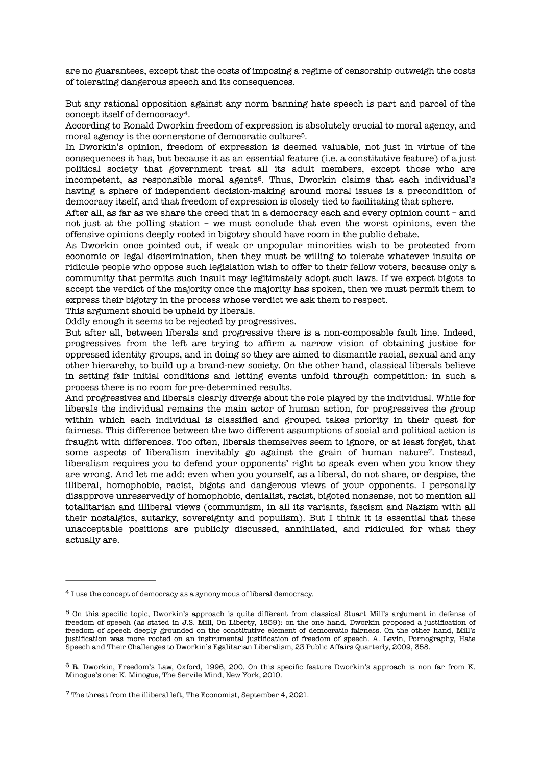are no guarantees, except that the costs of imposing a regime of censorship outweigh the costs of tolerating dangerous speech and its consequences.

<span id="page-1-4"></span>But any rational opposition against any norm banning hate speech is part and parcel of the concept itself of democracy<sup>4</sup>[.](#page-1-0)

<span id="page-1-5"></span>According to Ronald Dworkin freedom of expression is absolutely crucial to moral agency, and moral agency is the cornerstone of democratic culture<sup>[5](#page-1-1)</sup>.

<span id="page-1-6"></span>In Dworkin's opinion, freedom of expression is deemed valuable, not just in virtue of the consequences it has, but because it as an essential feature (i.e. a constitutive feature) of a just political society that government treat all its adult members, except those who are incompetent, as responsible moral agents<sup>6</sup>[.](#page-1-2) Thus, Dworkin claims that each individual's having a sphere of independent decision-making around moral issues is a precondition of democracy itself, and that freedom of expression is closely tied to facilitating that sphere.

After all, as far as we share the creed that in a democracy each and every opinion count – and not just at the polling station – we must conclude that even the worst opinions, even the offensive opinions deeply rooted in bigotry should have room in the public debate.

As Dworkin once pointed out, if weak or unpopular minorities wish to be protected from economic or legal discrimination, then they must be willing to tolerate whatever insults or ridicule people who oppose such legislation wish to offer to their fellow voters, because only a community that permits such insult may legitimately adopt such laws. If we expect bigots to accept the verdict of the majority once the majority has spoken, then we must permit them to express their bigotry in the process whose verdict we ask them to respect.

This argument should be upheld by liberals.

Oddly enough it seems to be rejected by progressives.

But after all, between liberals and progressive there is a non-composable fault line. Indeed, progressives from the left are trying to affirm a narrow vision of obtaining justice for oppressed identity groups, and in doing so they are aimed to dismantle racial, sexual and any other hierarchy, to build up a brand-new society. On the other hand, classical liberals believe in setting fair initial conditions and letting events unfold through competition: in such a process there is no room for pre-determined results.

<span id="page-1-7"></span>And progressives and liberals clearly diverge about the role played by the individual. While for liberals the individual remains the main actor of human action, for progressives the group within which each individual is classified and grouped takes priority in their quest for fairness. This difference between the two different assumptions of social and political action is fraught with differences. Too often, liberals themselves seem to ignore, or at least forget, that some aspects of liberalism inevitably go against the grain of human nature? Instead, liberalism requires you to defend your opponents' right to speak even when you know they are wrong. And let me add: even when you yourself, as a liberal, do not share, or despise, the illiberal, homophobic, racist, bigots and dangerous views of your opponents. I personally disapprove unreservedly of homophobic, denialist, racist, bigoted nonsense, not to mention all totalitarian and illiberal views (communism, in all its variants, fascism and Nazism with all their nostalgics, autarky, sovereignty and populism). But I think it is essential that these unacceptable positions are publicly discussed, annihilated, and ridiculed for what they actually are.

<span id="page-1-0"></span><sup>&</sup>lt;sup>[4](#page-1-4)</sup> I use the concept of democracy as a synonymous of liberal democracy.

<span id="page-1-1"></span> $<sup>5</sup>$  $<sup>5</sup>$  $<sup>5</sup>$  On this specific topic, Dworkin's approach is quite different from classical Stuart Mill's argument in defense of</sup> freedom of speech (as stated in J.S. Mill, On Liberty, 1859): on the one hand, Dworkin proposed a justification of freedom of speech deeply grounded on the constitutive element of democratic fairness. On the other hand, Mill's justification was more rooted on an instrumental justification of freedom of speech. A. Levin, Pornography, Hate Speech and Their Challenges to Dworkin's Egalitarian Liberalism, 23 Public Affairs Quarterly, 2009, 358.

<span id="page-1-2"></span> $6$  R. Dworkin, Freedom's Law, Oxford, 1996, 200. On this specific feature Dworkin's approach is non far from K. Minogue's one: K. Minogue, The Servile Mind, New York, 2010.

<span id="page-1-3"></span><sup>&</sup>lt;sup>[7](#page-1-7)</sup> The threat from the illiberal left, The Economist, September 4, 2021.